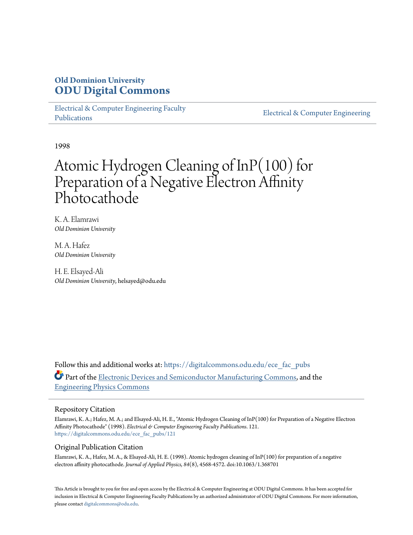# **Old Dominion University [ODU Digital Commons](https://digitalcommons.odu.edu?utm_source=digitalcommons.odu.edu%2Fece_fac_pubs%2F121&utm_medium=PDF&utm_campaign=PDFCoverPages)**

[Electrical & Computer Engineering Faculty](https://digitalcommons.odu.edu/ece_fac_pubs?utm_source=digitalcommons.odu.edu%2Fece_fac_pubs%2F121&utm_medium=PDF&utm_campaign=PDFCoverPages) [Publications](https://digitalcommons.odu.edu/ece_fac_pubs?utm_source=digitalcommons.odu.edu%2Fece_fac_pubs%2F121&utm_medium=PDF&utm_campaign=PDFCoverPages)

[Electrical & Computer Engineering](https://digitalcommons.odu.edu/ece?utm_source=digitalcommons.odu.edu%2Fece_fac_pubs%2F121&utm_medium=PDF&utm_campaign=PDFCoverPages)

1998

# Atomic Hydrogen Cleaning of InP(100) for Preparation of a Negative Electron Affinity Photocathode

K. A. Elamrawi *Old Dominion University*

M. A. Hafez *Old Dominion University*

H. E. Elsayed-Ali *Old Dominion University*, helsayed@odu.edu

Follow this and additional works at: [https://digitalcommons.odu.edu/ece\\_fac\\_pubs](https://digitalcommons.odu.edu/ece_fac_pubs?utm_source=digitalcommons.odu.edu%2Fece_fac_pubs%2F121&utm_medium=PDF&utm_campaign=PDFCoverPages) Part of the [Electronic Devices and Semiconductor Manufacturing Commons](http://network.bepress.com/hgg/discipline/272?utm_source=digitalcommons.odu.edu%2Fece_fac_pubs%2F121&utm_medium=PDF&utm_campaign=PDFCoverPages), and the [Engineering Physics Commons](http://network.bepress.com/hgg/discipline/200?utm_source=digitalcommons.odu.edu%2Fece_fac_pubs%2F121&utm_medium=PDF&utm_campaign=PDFCoverPages)

## Repository Citation

Elamrawi, K. A.; Hafez, M. A.; and Elsayed-Ali, H. E., "Atomic Hydrogen Cleaning of InP(100) for Preparation of a Negative Electron Affinity Photocathode" (1998). *Electrical & Computer Engineering Faculty Publications*. 121. [https://digitalcommons.odu.edu/ece\\_fac\\_pubs/121](https://digitalcommons.odu.edu/ece_fac_pubs/121?utm_source=digitalcommons.odu.edu%2Fece_fac_pubs%2F121&utm_medium=PDF&utm_campaign=PDFCoverPages)

## Original Publication Citation

Elamrawi, K. A., Hafez, M. A., & Elsayed-Ali, H. E. (1998). Atomic hydrogen cleaning of InP(100) for preparation of a negative electron affinity photocathode. *Journal of Applied Physics, 84*(8), 4568-4572. doi:10.1063/1.368701

This Article is brought to you for free and open access by the Electrical & Computer Engineering at ODU Digital Commons. It has been accepted for inclusion in Electrical & Computer Engineering Faculty Publications by an authorized administrator of ODU Digital Commons. For more information, please contact [digitalcommons@odu.edu](mailto:digitalcommons@odu.edu).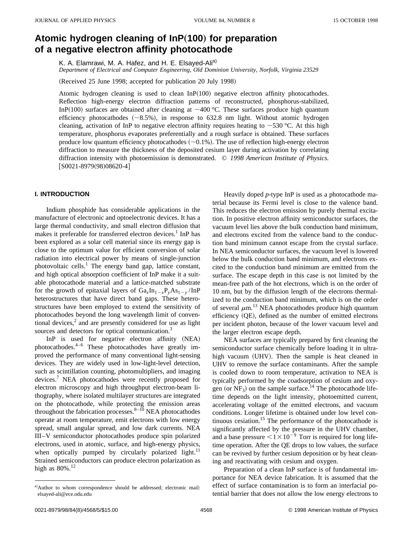# Atomic hydrogen cleaning of  $InP(100)$  for preparation **of a negative electron affinity photocathode**

K. A. Elamrawi, M. A. Hafez, and H. E. Elsayed-Ali<sup>a)</sup>

*Department of Electrical and Computer Engineering, Old Dominion University, Norfolk, Virginia 23529*

(Received 25 June 1998; accepted for publication 20 July 1998)

Atomic hydrogen cleaning is used to clean  $InP(100)$  negative electron affinity photocathodes. Reflection high-energy electron diffraction patterns of reconstructed, phosphorus-stabilized, InP(100) surfaces are obtained after cleaning at  $\sim$ 400 °C. These surfaces produce high quantum efficiency photocathodes  $({\sim}8.5\%)$ , in response to 632.8 nm light. Without atomic hydrogen cleaning, activation of InP to negative electron affinity requires heating to  $\sim$  530 °C. At this high temperature, phosphorus evaporates preferentially and a rough surface is obtained. These surfaces produce low quantum efficiency photocathodes  $(-0.1\%)$ . The use of reflection high-energy electron diffraction to measure the thickness of the deposited cesium layer during activation by correlating diffraction intensity with photoemission is demonstrated. © *1998 American Institute of Physics.*  $[SO021-8979(98)08620-4]$ 

#### **I. INTRODUCTION**

Indium phosphide has considerable applications in the manufacture of electronic and optoelectronic devices. It has a large thermal conductivity, and small electron diffusion that makes it preferable for transferred electron devices.<sup>1</sup> InP has been explored as a solar cell material since its energy gap is close to the optimum value for efficient conversion of solar radiation into electrical power by means of single-junction photovoltaic cells. $<sup>1</sup>$  The energy band gap, lattice constant,</sup> and high optical absorption coefficient of InP make it a suitable photocathode material and a lattice-matched substrate for the growth of epitaxial layers of  $Ga_xIn_{1-x}P_vAs_{1-v}/InP$ heterostructures that have direct band gaps. These heterostructures have been employed to extend the sensitivity of photocathodes beyond the long wavelength limit of conventional devices, $<sup>2</sup>$  and are presently considered for use as light</sup> sources and detectors for optical communication.<sup>3</sup>

InP is used for negative electron affinity  $(NEA)$ photocathodes.4–6 These photocathodes have greatly improved the performance of many conventional light-sensing devices. They are widely used in low-light-level detection, such as scintillation counting, photomultipliers, and imaging devices.<sup>7</sup> NEA photocathodes were recently proposed for electron microscopy and high throughput electron-beam lithography, where isolated multilayer structures are integrated on the photocathode, while protecting the emission areas throughout the fabrication processes. $8-10$  NEA photocathodes operate at room temperature, emit electrons with low energy spread, small angular spread, and low dark currents. NEA III–V semiconductor photocathodes produce spin polarized electrons, used in atomic, surface, and high-energy physics, when optically pumped by circularly polarized light.<sup>11</sup> Strained semiconductors can produce electron polarization as high as  $80\%$ .<sup>12</sup>

Heavily doped *p*-type InP is used as a photocathode material because its Fermi level is close to the valence band. This reduces the electron emission by purely thermal excitation. In positive electron affinity semiconductor surfaces, the vacuum level lies above the bulk conduction band minimum, and electrons excited from the valence band to the conduction band minimum cannot escape from the crystal surface. In NEA semiconductor surfaces, the vacuum level is lowered below the bulk conduction band minimum, and electrons excited to the conduction band minimum are emitted from the surface. The escape depth in this case is not limited by the mean-free path of the hot electrons, which is on the order of 10 nm, but by the diffusion length of the electrons thermalized to the conduction band minimum, which is on the order of several  $\mu$ m.<sup>13</sup> NEA photocathodes produce high quantum efficiency (QE), defined as the number of emitted electrons per incident photon, because of the lower vacuum level and the larger electron escape depth.

NEA surfaces are typically prepared by first cleaning the semiconductor surface chemically before loading it in ultrahigh vacuum (UHV). Then the sample is heat cleaned in UHV to remove the surface contaminants. After the sample is cooled down to room temperature, activation to NEA is typically performed by the coadsorption of cesium and oxygen (or  $NF_3$ ) on the sample surface.<sup>14</sup> The photocathode lifetime depends on the light intensity, photoemitted current, accelerating voltage of the emitted electrons, and vacuum conditions. Longer lifetime is obtained under low level continuous cesiation.<sup>15</sup> The performance of the photocathode is significantly affected by the pressure in the UHV chamber, and a base pressure  $\leq 1 \times 10^{-9}$  Torr is required for long lifetime operation. After the QE drops to low values, the surface can be revived by further cesium deposition or by heat cleaning and reactivating with cesium and oxygen.

Preparation of a clean InP surface is of fundamental importance for NEA device fabrication. It is assumed that the effect of surface contamination is to form an interfacial potential barrier that does not allow the low energy electrons to

a)Author to whom correspondence should be addressed; electronic mail: elsayed-ali@ece.odu.edu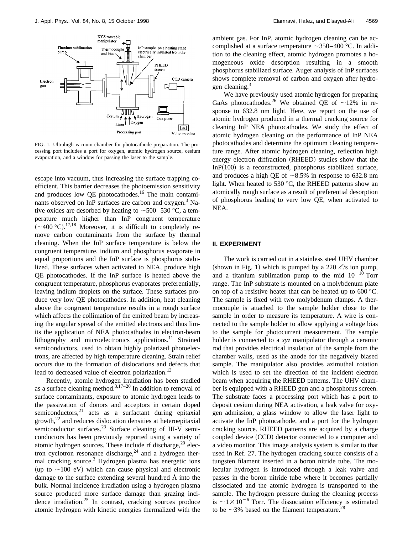

FIG. 1. Ultrahigh vacuum chamber for photocathode preparation. The processing port includes a port for oxygen, atomic hydrogen source, cesium evaporation, and a window for passing the laser to the sample.

escape into vacuum, thus increasing the surface trapping coefficient. This barrier decreases the photoemission sensitivity and produces low OE photocathodes.<sup>16</sup> The main contaminants observed on InP surfaces are carbon and oxygen.<sup>3</sup> Native oxides are desorbed by heating to  $\sim$  500–530 °C, a temperature much higher than InP congruent temperature  $({\sim}400 \text{ °C})$ .<sup>17,18</sup> Moreover, it is difficult to completely remove carbon contaminants from the surface by thermal cleaning. When the InP surface temperature is below the congruent temperature, indium and phosphorus evaporate in equal proportions and the InP surface is phosphorus stabilized. These surfaces when activated to NEA, produce high QE photocathodes. If the InP surface is heated above the congruent temperature, phosphorus evaporates preferentially, leaving indium droplets on the surface. These surfaces produce very low QE photocathodes. In addition, heat cleaning above the congruent temperature results in a rough surface which affects the collimation of the emitted beam by increasing the angular spread of the emitted electrons and thus limits the application of NEA photocathodes in electron-beam lithography and microelectronics applications.<sup>11</sup> Strained semiconductors, used to obtain highly polarized photoelectrons, are affected by high temperature cleaning. Strain relief occurs due to the formation of dislocations and defects that lead to decreased value of electron polarization.<sup>13</sup>

Recently, atomic hydrogen irradiation has been studied as a surface cleaning method.<sup>3,17–20</sup> In addition to removal of surface contaminants, exposure to atomic hydrogen leads to the passivation of donors and acceptors in certain doped semiconductors, $21$  acts as a surfactant during epitaxial growth, $^{22}$  and reduces dislocation densities at heteroepitaxial semiconductor surfaces.<sup>23</sup> Surface cleaning of III-V semiconductors has been previously reported using a variety of atomic hydrogen sources. These include rf discharge, $20$  electron cyclotron resonance discharge, $24$  and a hydrogen thermal cracking source.3 Hydrogen plasma has energetic ions (up to  $\sim$ 100 eV) which can cause physical and electronic damage to the surface extending several hundred Å into the bulk. Normal incidence irradiation using a hydrogen plasma source produced more surface damage than grazing incidence irradiation.<sup>25</sup> In contrast, cracking sources produce atomic hydrogen with kinetic energies thermalized with the ambient gas. For InP, atomic hydrogen cleaning can be accomplished at a surface temperature  $\sim$ 350–400 °C. In addition to the cleaning effect, atomic hydrogen promotes a homogeneous oxide desorption resulting in a smooth phosphorus stabilized surface. Auger analysis of InP surfaces shows complete removal of carbon and oxygen after hydrogen cleaning.<sup>3</sup>

We have previously used atomic hydrogen for preparing GaAs photocathodes.<sup>26</sup> We obtained QE of  $\sim$ 12% in response to 632.8 nm light. Here, we report on the use of atomic hydrogen produced in a thermal cracking source for cleaning InP NEA photocathodes. We study the effect of atomic hydrogen cleaning on the performance of InP NEA photocathodes and determine the optimum cleaning temperature range. After atomic hydrogen cleaning, reflection high energy electron diffraction (RHEED) studies show that the In $P(100)$  is a reconstructed, phosphorus stabilized surface, and produces a high QE of  $\sim 8.5\%$  in response to 632.8 nm light. When heated to 530 °C, the RHEED patterns show an atomically rough surface as a result of preferential desorption of phosphorus leading to very low QE, when activated to NEA.

#### **II. EXPERIMENT**

The work is carried out in a stainless steel UHV chamber (shown in Fig. 1) which is pumped by a 220  $\ell$ /s ion pump, and a titanium sublimation pump to the mid  $10^{-10}$  Torr range. The InP substrate is mounted on a molybdenum plate on top of a resistive heater that can be heated up to 600 °C. The sample is fixed with two molybdenum clamps. A thermocouple is attached to the sample holder close to the sample in order to measure its temperature. A wire is connected to the sample holder to allow applying a voltage bias to the sample for photocurrent measurement. The sample holder is connected to a *xyz* manipulator through a ceramic rod that provides electrical insulation of the sample from the chamber walls, used as the anode for the negatively biased sample. The manipulator also provides azimuthal rotation which is used to set the direction of the incident electron beam when acquiring the RHEED patterns. The UHV chamber is equipped with a RHEED gun and a phosphorus screen. The substrate faces a processing port which has a port to deposit cesium during NEA activation, a leak valve for oxygen admission, a glass window to allow the laser light to activate the InP photocathode, and a port for the hydrogen cracking source. RHEED patterns are acquired by a charge coupled device (CCD) detector connected to a computer and a video monitor. This image analysis system is similar to that used in Ref. 27. The hydrogen cracking source consists of a tungsten filament inserted in a boron nitride tube. The molecular hydrogen is introduced through a leak valve and passes in the boron nitride tube where it becomes partially dissociated and the atomic hydrogen is transported to the sample. The hydrogen pressure during the cleaning process is  $\sim1\times10^{-6}$  Torr. The dissociation efficiency is estimated to be  $\sim$ 3% based on the filament temperature.<sup>28</sup>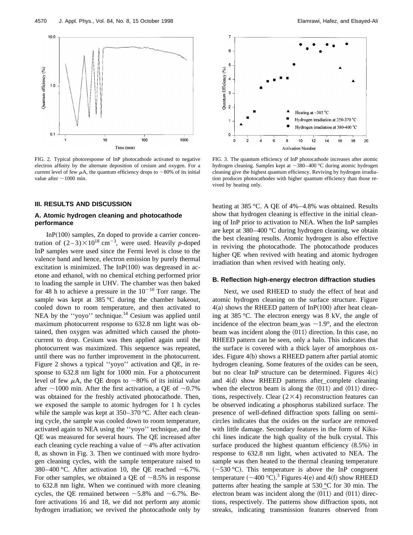

FIG. 2. Typical photoresponse of InP photocathode activated to negative electron affinity by the alternate deposition of cesium and oxygen. For a current level of few  $\mu$ A, the quantum efficiency drops to  $\sim$ 80% of its initial value after  $\sim$ 1000 min.

#### **III. RESULTS AND DISCUSSION**

### **A. Atomic hydrogen cleaning and photocathode performance**

In $P(100)$  samples, Zn doped to provide a carrier concentration of  $(2-3) \times 10^{18}$  cm<sup>-3</sup>, were used. Heavily *p*-doped InP samples were used since the Fermi level is close to the valence band and hence, electron emission by purely thermal excitation is minimized. The  $InP(100)$  was degreased in acetone and ethanol, with no chemical etching performed prior to loading the sample in UHV. The chamber was then baked for 48 h to achieve a pressure in the  $10^{-10}$  Torr range. The sample was kept at 385 °C during the chamber bakeout, cooled down to room temperature, and then activated to NEA by the "yoyo" technique.<sup>14</sup> Cesium was applied until maximum photocurrent response to 632.8 nm light was obtained, then oxygen was admitted which caused the photocurrent to drop. Cesium was then applied again until the photocurrent was maximized. This sequence was repeated, until there was no further improvement in the photocurrent. Figure 2 shows a typical ''yoyo'' activation and QE, in response to 632.8 nm light for 1000 min. For a photocurrent level of few  $\mu$ A, the QE drops to  $\sim$ 80% of its initial value after  $\sim$ 1000 min. After the first activation, a QE of  $\sim$ 0.7% was obtained for the freshly activated photocathode. Then, we exposed the sample to atomic hydrogen for 1 h cycles while the sample was kept at 350–370 °C. After each cleaning cycle, the sample was cooled down to room temperature, activated again to NEA using the ''yoyo'' technique, and the QE was measured for several hours. The QE increased after each cleaning cycle reaching a value of  $\sim$ 4% after activation 8, as shown in Fig. 3. Then we continued with more hydrogen cleaning cycles, with the sample temperature raised to 380–400 °C. After activation 10, the QE reached  $\sim 6.7\%$ . For other samples, we obtained a QE of  $\sim 8.5\%$  in response to 632.8 nm light. When we continued with more cleaning cycles, the QE remained between  $\sim$  5.8% and  $\sim$  6.7%. Before activations 16 and 18, we did not perform any atomic hydrogen irradiation; we revived the photocathode only by



FIG. 3. The quantum efficiency of InP photocathode increases after atomic hydrogen cleaning. Samples kept at  $\sim$ 380–400 °C during atomic hydrogen cleaning give the highest quantum efficiency. Reviving by hydrogen irradiation produces photocathodes with higher quantum efficiency than those revived by heating only.

heating at 385 °C. A QE of 4%–4.8% was obtained. Results show that hydrogen cleaning is effective in the initial cleaning of InP prior to activation to NEA. When the InP samples are kept at 380–400 °C during hydrogen cleaning, we obtain the best cleaning results. Atomic hydrogen is also effective in reviving the photocathode. The photocathode produces higher QE when revived with heating and atomic hydrogen irradiation than when revived with heating only.

#### **B. Reflection high-energy electron diffraction studies**

Next, we used RHEED to study the effect of heat and atomic hydrogen cleaning on the surface structure. Figure  $4(a)$  shows the RHEED pattern of InP $(100)$  after heat cleaning at 385 °C. The electron energy was 8 kV, the angle of incidence of the electron beam was  $\sim$ 1.9°, and the electron beam was incident along the  $\langle 011 \rangle$  direction. In this case, no RHEED pattern can be seen, only a halo. This indicates that the surface is covered with a thick layer of amorphous oxides. Figure 4(b) shows a RHEED pattern after partial atomic hydrogen cleaning. Some features of the oxides can be seen, but no clear InP structure can be determined. Figures  $4(c)$ and  $4(d)$  show RHEED patterns after complete cleaning when the electron beam is along the  $\langle 011 \rangle$  and  $\langle 011 \rangle$  directions, respectively. Clear  $(2\times4)$  reconstruction features can be observed indicating a phosphorus stabilized surface. The presence of well-defined diffraction spots falling on semicircles indicates that the oxides on the surface are removed with little damage. Secondary features in the form of Kikuchi lines indicate the high quality of the bulk crystal. This surface produced the highest quantum efficiency  $(8.5\%)$  in response to 632.8 nm light, when activated to NEA. The sample was then heated to the thermal cleaning temperature  $(-530 \degree C)$ . This temperature is above the InP congruent temperature  $({\sim}400\ {\rm ^\circ C})$ .<sup>3</sup> Figures 4(e) and 4(f) show RHEED patterns after heating the sample at 530 °C for 30 min. The electron beam was incident along the  $\langle 011 \rangle$  and  $\langle 011 \rangle$  directions, respectively. The patterns show diffraction spots, not streaks, indicating transmission features observed from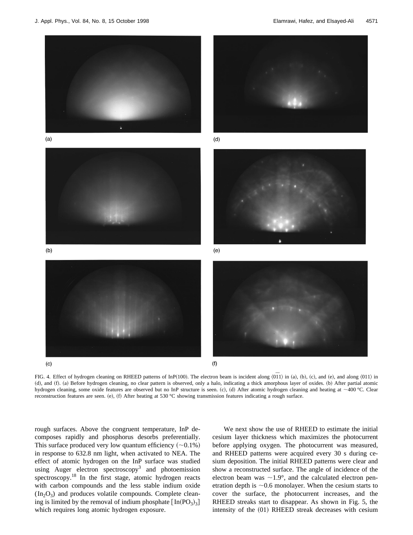$(b)$ 

 $(c)$ 







 $(d)$ 



 $(e)$ 



FIG. 4. Effect of hydrogen cleaning on RHEED patterns of InP(100). The electron beam is incident along  $\langle 0\overline{1}1\rangle$  in (a), (b), (c), and (e), and along  $\langle 011\rangle$  in (d), and (f). (a) Before hydrogen cleaning, no clear pattern is observed, only a halo, indicating a thick amorphous layer of oxides. (b) After partial atomic hydrogen cleaning, some oxide features are observed but no InP structure is seen. (c), (d) After atomic hydrogen cleaning and heating at ~400 °C. Clear reconstruction features are seen.  $(e)$ ,  $(f)$  After heating at 530 °C showing transmission features indicating a rough surface.

rough surfaces. Above the congruent temperature, InP decomposes rapidly and phosphorus desorbs preferentially. This surface produced very low quantum efficiency  $(\sim 0.1\%)$ in response to 632.8 nm light, when activated to NEA. The effect of atomic hydrogen on the InP surface was studied using Auger electron spectroscopy<sup>3</sup> and photoemission spectroscopy.<sup>18</sup> In the first stage, atomic hydrogen reacts with carbon compounds and the less stable indium oxide  $(In_2O_3)$  and produces volatile compounds. Complete cleaning is limited by the removal of indium phosphate  $[In(PO<sub>3</sub>)<sub>3</sub>]$ which requires long atomic hydrogen exposure.

We next show the use of RHEED to estimate the initial cesium layer thickness which maximizes the photocurrent before applying oxygen. The photocurrent was measured, and RHEED patterns were acquired every 30 s during cesium deposition. The initial RHEED patterns were clear and show a reconstructed surface. The angle of incidence of the electron beam was  $\sim$ 1.9°, and the calculated electron penetration depth is  $\sim 0.6$  monolayer. When the cesium starts to cover the surface, the photocurrent increases, and the RHEED streaks start to disappear. As shown in Fig. 5, the intensity of the  $(01)$  RHEED streak decreases with cesium